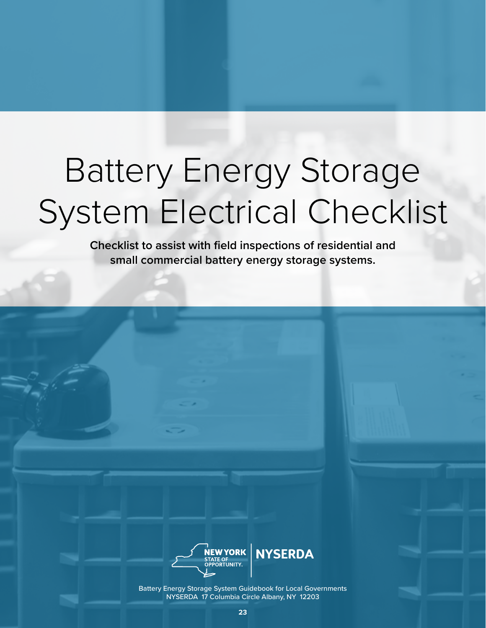# Battery Energy Storage System Electrical Checklist

**Checklist to assist with field inspections of residential and small commercial battery energy storage systems.** 



Battery Energy Storage System Guidebook for Local Governments NYSERDA 17 Columbia Circle Albany, NY 12203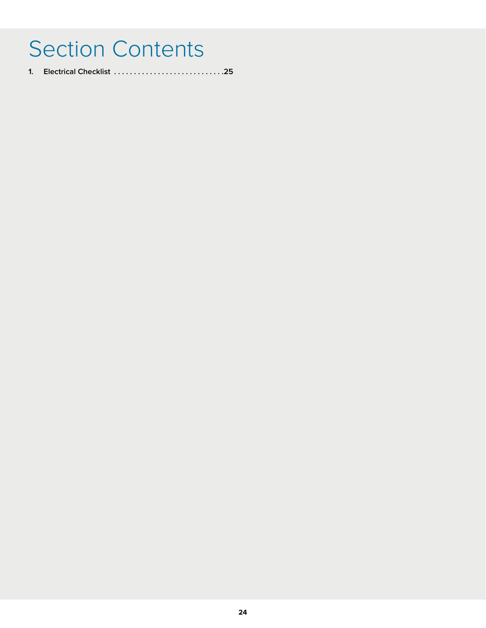# Section Contents

**1. Electrical Checklist . 25**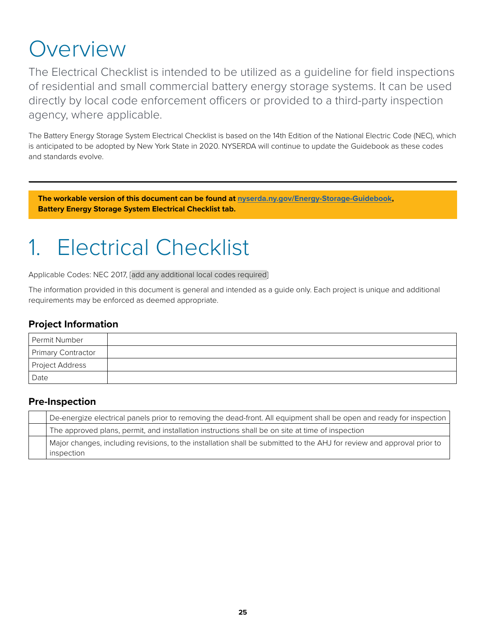# Overview

The Electrical Checklist is intended to be utilized as a guideline for field inspections of residential and small commercial battery energy storage systems. It can be used directly by local code enforcement officers or provided to a third-party inspection agency, where applicable.

The Battery Energy Storage System Electrical Checklist is based on the 14th Edition of the National Electric Code (NEC), which is anticipated to be adopted by New York State in 2020. NYSERDA will continue to update the Guidebook as these codes and standards evolve.

**The workable version of this document can be found at [nyserda.ny.gov/Energy-Storage-Guidebook,](http://nyserda.ny.gov/Energy-Storage-Guidebook) Battery Energy Storage System Electrical Checklist tab.**

# 1. Electrical Checklist

Applicable Codes: NEC 2017, [add any additional local codes required]

The information provided in this document is general and intended as a guide only. Each project is unique and additional requirements may be enforced as deemed appropriate.

#### **Project Information**

| Permit Number      |  |
|--------------------|--|
| Primary Contractor |  |
| I Project Address  |  |
| Date               |  |

#### **Pre-Inspection**

| De-energize electrical panels prior to removing the dead-front. All equipment shall be open and ready for inspection   |
|------------------------------------------------------------------------------------------------------------------------|
| The approved plans, permit, and installation instructions shall be on site at time of inspection                       |
| Major changes, including revisions, to the installation shall be submitted to the AHJ for review and approval prior to |
| inspection                                                                                                             |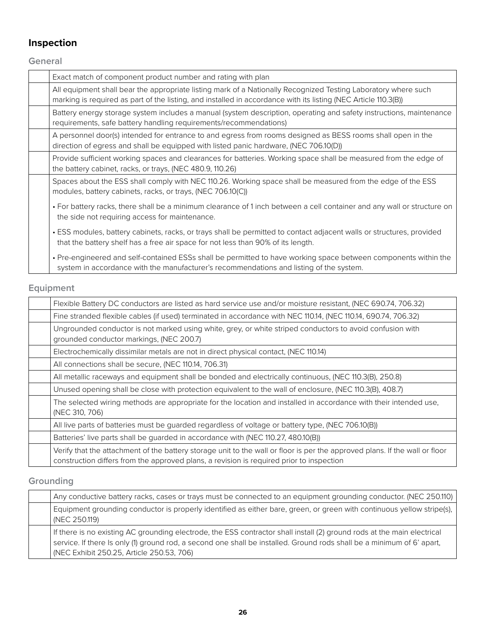# **Inspection**

**General**

| Exact match of component product number and rating with plan                                                                                                                                                                      |
|-----------------------------------------------------------------------------------------------------------------------------------------------------------------------------------------------------------------------------------|
| All equipment shall bear the appropriate listing mark of a Nationally Recognized Testing Laboratory where such<br>marking is required as part of the listing, and installed in accordance with its listing (NEC Article 110.3(B)) |
| Battery energy storage system includes a manual (system description, operating and safety instructions, maintenance<br>requirements, safe battery handling requirements/recommendations)                                          |
| A personnel door(s) intended for entrance to and egress from rooms designed as BESS rooms shall open in the<br>direction of egress and shall be equipped with listed panic hardware, (NEC 706.10(D))                              |
| Provide sufficient working spaces and clearances for batteries. Working space shall be measured from the edge of<br>the battery cabinet, racks, or trays, (NEC 480.9, 110.26)                                                     |
| Spaces about the ESS shall comply with NEC 110.26. Working space shall be measured from the edge of the ESS<br>modules, battery cabinets, racks, or trays, (NEC 706.10(C))                                                        |
| • For battery racks, there shall be a minimum clearance of 1 inch between a cell container and any wall or structure on<br>the side not requiring access for maintenance.                                                         |
| • ESS modules, battery cabinets, racks, or trays shall be permitted to contact adjacent walls or structures, provided<br>that the battery shelf has a free air space for not less than 90% of its length.                         |
| • Pre-engineered and self-contained ESSs shall be permitted to have working space between components within the<br>system in accordance with the manufacturer's recommendations and listing of the system.                        |

### **Equipment**

| Flexible Battery DC conductors are listed as hard service use and/or moisture resistant, (NEC 690.74, 706.32)                                                                                                           |
|-------------------------------------------------------------------------------------------------------------------------------------------------------------------------------------------------------------------------|
| Fine stranded flexible cables (if used) terminated in accordance with NEC 110.14, (NEC 110.14, 690.74, 706.32)                                                                                                          |
| Ungrounded conductor is not marked using white, grey, or white striped conductors to avoid confusion with<br>grounded conductor markings, (NEC 200.7)                                                                   |
| Electrochemically dissimilar metals are not in direct physical contact, (NEC 110.14)                                                                                                                                    |
| All connections shall be secure, (NEC 110.14, 706.31)                                                                                                                                                                   |
| All metallic raceways and equipment shall be bonded and electrically continuous, (NEC 110.3(B), 250.8)                                                                                                                  |
| Unused opening shall be close with protection equivalent to the wall of enclosure, (NEC 110.3(B), 408.7)                                                                                                                |
| The selected wiring methods are appropriate for the location and installed in accordance with their intended use,<br>(NEC 310, 706)                                                                                     |
| All live parts of batteries must be quarded regardless of voltage or battery type, (NEC 706.10(B))                                                                                                                      |
| Batteries' live parts shall be guarded in accordance with (NEC 110.27, 480.10(B))                                                                                                                                       |
| Verify that the attachment of the battery storage unit to the wall or floor is per the approved plans. If the wall or floor<br>construction differs from the approved plans, a revision is required prior to inspection |

# **Grounding**

| Any conductive battery racks, cases or trays must be connected to an equipment grounding conductor. (NEC 250.110)                                                                                                                                                                              |
|------------------------------------------------------------------------------------------------------------------------------------------------------------------------------------------------------------------------------------------------------------------------------------------------|
| Equipment grounding conductor is properly identified as either bare, green, or green with continuous yellow stripe(s),<br>(NEC 250.119)                                                                                                                                                        |
| If there is no existing AC grounding electrode, the ESS contractor shall install (2) ground rods at the main electrical<br>service. If there Is only (1) ground rod, a second one shall be installed. Ground rods shall be a minimum of 6' apart,<br>(NEC Exhibit 250.25, Article 250.53, 706) |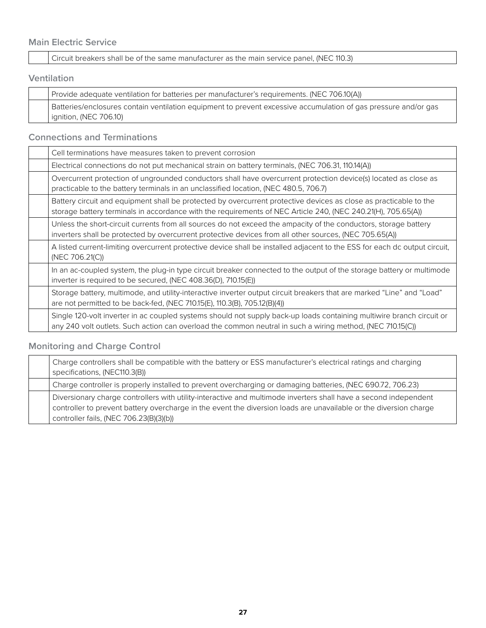#### **Main Electric Service**

Circuit breakers shall be of the same manufacturer as the main service panel, (NEC 110.3)

#### **Ventilation**

| Provide adequate ventilation for batteries per manufacturer's requirements. (NEC 706.10(A))                                               |
|-------------------------------------------------------------------------------------------------------------------------------------------|
| Batteries/enclosures contain ventilation equipment to prevent excessive accumulation of gas pressure and/or gas<br>ignition, (NEC 706.10) |

### **Connections and Terminations**

| Cell terminations have measures taken to prevent corrosion                                                                                                                                                                          |
|-------------------------------------------------------------------------------------------------------------------------------------------------------------------------------------------------------------------------------------|
| Electrical connections do not put mechanical strain on battery terminals, (NEC 706.31, 110.14(A))                                                                                                                                   |
| Overcurrent protection of ungrounded conductors shall have overcurrent protection device(s) located as close as<br>practicable to the battery terminals in an unclassified location, (NEC 480.5, 706.7)                             |
| Battery circuit and equipment shall be protected by overcurrent protective devices as close as practicable to the<br>storage battery terminals in accordance with the requirements of NEC Article 240, (NEC 240.21(H), 705.65(A))   |
| Unless the short-circuit currents from all sources do not exceed the ampacity of the conductors, storage battery<br>inverters shall be protected by overcurrent protective devices from all other sources, (NEC 705.65(A))          |
| A listed current-limiting overcurrent protective device shall be installed adjacent to the ESS for each dc output circuit,<br>(NEC 706.21(C))                                                                                       |
| In an ac-coupled system, the plug-in type circuit breaker connected to the output of the storage battery or multimode<br>inverter is required to be secured, (NEC 408.36(D), 710.15(E))                                             |
| Storage battery, multimode, and utility-interactive inverter output circuit breakers that are marked "Line" and "Load"<br>are not permitted to be back-fed, (NEC 710.15(E), 110.3(B), 705.12(B)(4))                                 |
| Single 120-volt inverter in ac coupled systems should not supply back-up loads containing multiwire branch circuit or<br>any 240 volt outlets. Such action can overload the common neutral in such a wiring method, (NEC 710.15(C)) |

### **Monitoring and Charge Control**

| Charge controllers shall be compatible with the battery or ESS manufacturer's electrical ratings and charging<br>specifications, (NEC110.3(B))                                                                                                                                   |
|----------------------------------------------------------------------------------------------------------------------------------------------------------------------------------------------------------------------------------------------------------------------------------|
| Charge controller is properly installed to prevent overcharging or damaging batteries, (NEC 690.72, 706.23)                                                                                                                                                                      |
| Diversionary charge controllers with utility-interactive and multimode inverters shall have a second independent<br>controller to prevent battery overcharge in the event the diversion loads are unavailable or the diversion charge<br>controller fails, (NEC 706.23(B)(3)(b)) |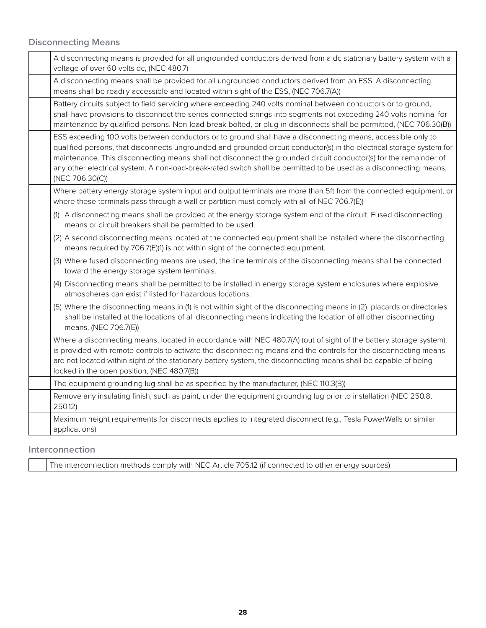#### **Disconnecting Means**

| A disconnecting means is provided for all ungrounded conductors derived from a dc stationary battery system with a<br>voltage of over 60 volts dc, (NEC 480.7)                                                                                                                                                                                                                                                                                                                                      |
|-----------------------------------------------------------------------------------------------------------------------------------------------------------------------------------------------------------------------------------------------------------------------------------------------------------------------------------------------------------------------------------------------------------------------------------------------------------------------------------------------------|
| A disconnecting means shall be provided for all ungrounded conductors derived from an ESS. A disconnecting<br>means shall be readily accessible and located within sight of the ESS, (NEC 706.7(A))                                                                                                                                                                                                                                                                                                 |
| Battery circuits subject to field servicing where exceeding 240 volts nominal between conductors or to ground,<br>shall have provisions to disconnect the series-connected strings into segments not exceeding 240 volts nominal for<br>maintenance by qualified persons. Non-load-break bolted, or plug-in disconnects shall be permitted, (NEC 706.30(B))                                                                                                                                         |
| ESS exceeding 100 volts between conductors or to ground shall have a disconnecting means, accessible only to<br>qualified persons, that disconnects ungrounded and grounded circuit conductor(s) in the electrical storage system for<br>maintenance. This disconnecting means shall not disconnect the grounded circuit conductor(s) for the remainder of<br>any other electrical system. A non-load-break-rated switch shall be permitted to be used as a disconnecting means,<br>(NEC 706.30(C)) |
| Where battery energy storage system input and output terminals are more than 5ft from the connected equipment, or<br>where these terminals pass through a wall or partition must comply with all of NEC 706.7(E))                                                                                                                                                                                                                                                                                   |
| (1) A disconnecting means shall be provided at the energy storage system end of the circuit. Fused disconnecting<br>means or circuit breakers shall be permitted to be used.                                                                                                                                                                                                                                                                                                                        |
| (2) A second disconnecting means located at the connected equipment shall be installed where the disconnecting<br>means required by 706.7(E)(1) is not within sight of the connected equipment.                                                                                                                                                                                                                                                                                                     |
| (3) Where fused disconnecting means are used, the line terminals of the disconnecting means shall be connected<br>toward the energy storage system terminals.                                                                                                                                                                                                                                                                                                                                       |
| (4) Disconnecting means shall be permitted to be installed in energy storage system enclosures where explosive<br>atmospheres can exist if listed for hazardous locations.                                                                                                                                                                                                                                                                                                                          |
| (5) Where the disconnecting means in (1) is not within sight of the disconnecting means in (2), placards or directories<br>shall be installed at the locations of all disconnecting means indicating the location of all other disconnecting<br>means. (NEC 706.7(E))                                                                                                                                                                                                                               |
| Where a disconnecting means, located in accordance with NEC 480.7(A) (out of sight of the battery storage system),<br>is provided with remote controls to activate the disconnecting means and the controls for the disconnecting means<br>are not located within sight of the stationary battery system, the disconnecting means shall be capable of being<br>locked in the open position, (NEC 480.7(B))                                                                                          |
| The equipment grounding lug shall be as specified by the manufacturer, (NEC 110.3(B))                                                                                                                                                                                                                                                                                                                                                                                                               |
| Remove any insulating finish, such as paint, under the equipment grounding lug prior to installation (NEC 250.8,<br>250.12)                                                                                                                                                                                                                                                                                                                                                                         |
| Maximum height requirements for disconnects applies to integrated disconnect (e.g., Tesla PowerWalls or similar<br>applications)                                                                                                                                                                                                                                                                                                                                                                    |
|                                                                                                                                                                                                                                                                                                                                                                                                                                                                                                     |

**Interconnection**

The interconnection methods comply with NEC Article 705.12 (if connected to other energy sources)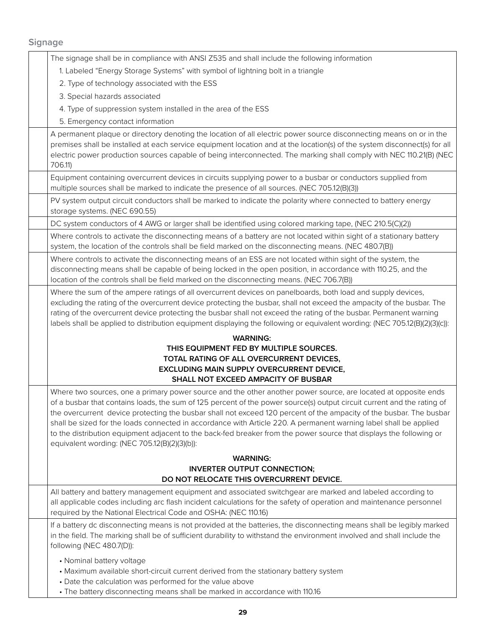### **Signage**

| The signage shall be in compliance with ANSI Z535 and shall include the following information                                                                                                                                                                                                                                                                                                                                                                                                                                                                                                                                                                 |
|---------------------------------------------------------------------------------------------------------------------------------------------------------------------------------------------------------------------------------------------------------------------------------------------------------------------------------------------------------------------------------------------------------------------------------------------------------------------------------------------------------------------------------------------------------------------------------------------------------------------------------------------------------------|
| 1. Labeled "Energy Storage Systems" with symbol of lightning bolt in a triangle                                                                                                                                                                                                                                                                                                                                                                                                                                                                                                                                                                               |
| 2. Type of technology associated with the ESS                                                                                                                                                                                                                                                                                                                                                                                                                                                                                                                                                                                                                 |
| 3. Special hazards associated                                                                                                                                                                                                                                                                                                                                                                                                                                                                                                                                                                                                                                 |
| 4. Type of suppression system installed in the area of the ESS                                                                                                                                                                                                                                                                                                                                                                                                                                                                                                                                                                                                |
| 5. Emergency contact information                                                                                                                                                                                                                                                                                                                                                                                                                                                                                                                                                                                                                              |
| A permanent plaque or directory denoting the location of all electric power source disconnecting means on or in the                                                                                                                                                                                                                                                                                                                                                                                                                                                                                                                                           |
| premises shall be installed at each service equipment location and at the location(s) of the system disconnect(s) for all<br>electric power production sources capable of being interconnected. The marking shall comply with NEC 110.21(B) (NEC<br>706.11)                                                                                                                                                                                                                                                                                                                                                                                                   |
| Equipment containing overcurrent devices in circuits supplying power to a busbar or conductors supplied from<br>multiple sources shall be marked to indicate the presence of all sources. (NEC 705.12(B)(3))                                                                                                                                                                                                                                                                                                                                                                                                                                                  |
| PV system output circuit conductors shall be marked to indicate the polarity where connected to battery energy<br>storage systems. (NEC 690.55)                                                                                                                                                                                                                                                                                                                                                                                                                                                                                                               |
| DC system conductors of 4 AWG or larger shall be identified using colored marking tape, (NEC 210.5(C)(2))                                                                                                                                                                                                                                                                                                                                                                                                                                                                                                                                                     |
| Where controls to activate the disconnecting means of a battery are not located within sight of a stationary battery<br>system, the location of the controls shall be field marked on the disconnecting means. (NEC 480.7(B))                                                                                                                                                                                                                                                                                                                                                                                                                                 |
| Where controls to activate the disconnecting means of an ESS are not located within sight of the system, the<br>disconnecting means shall be capable of being locked in the open position, in accordance with 110.25, and the<br>location of the controls shall be field marked on the disconnecting means. (NEC 706.7(B))                                                                                                                                                                                                                                                                                                                                    |
| Where the sum of the ampere ratings of all overcurrent devices on panelboards, both load and supply devices,<br>excluding the rating of the overcurrent device protecting the busbar, shall not exceed the ampacity of the busbar. The<br>rating of the overcurrent device protecting the busbar shall not exceed the rating of the busbar. Permanent warning<br>labels shall be applied to distribution equipment displaying the following or equivalent wording: (NEC 705.12(B)(2)(3)(c)):                                                                                                                                                                  |
| <b>WARNING:</b>                                                                                                                                                                                                                                                                                                                                                                                                                                                                                                                                                                                                                                               |
| THIS EQUIPMENT FED BY MULTIPLE SOURCES.                                                                                                                                                                                                                                                                                                                                                                                                                                                                                                                                                                                                                       |
| TOTAL RATING OF ALL OVERCURRENT DEVICES,<br>EXCLUDING MAIN SUPPLY OVERCURRENT DEVICE,                                                                                                                                                                                                                                                                                                                                                                                                                                                                                                                                                                         |
| SHALL NOT EXCEED AMPACITY OF BUSBAR                                                                                                                                                                                                                                                                                                                                                                                                                                                                                                                                                                                                                           |
| Where two sources, one a primary power source and the other another power source, are located at opposite ends<br>of a busbar that contains loads, the sum of 125 percent of the power source(s) output circuit current and the rating of<br>the overcurrent device protecting the busbar shall not exceed 120 percent of the ampacity of the busbar. The busbar<br>shall be sized for the loads connected in accordance with Article 220. A permanent warning label shall be applied<br>to the distribution equipment adjacent to the back-fed breaker from the power source that displays the following or<br>equivalent wording: (NEC 705.12(B)(2)(3)(b)): |
| <b>WARNING:</b>                                                                                                                                                                                                                                                                                                                                                                                                                                                                                                                                                                                                                                               |
| <b>INVERTER OUTPUT CONNECTION;</b><br>DO NOT RELOCATE THIS OVERCURRENT DEVICE.                                                                                                                                                                                                                                                                                                                                                                                                                                                                                                                                                                                |
| All battery and battery management equipment and associated switchgear are marked and labeled according to<br>all applicable codes including arc flash incident calculations for the safety of operation and maintenance personnel<br>required by the National Electrical Code and OSHA: (NEC 110.16)                                                                                                                                                                                                                                                                                                                                                         |
| If a battery dc disconnecting means is not provided at the batteries, the disconnecting means shall be legibly marked<br>in the field. The marking shall be of sufficient durability to withstand the environment involved and shall include the<br>following (NEC 480.7(D)):                                                                                                                                                                                                                                                                                                                                                                                 |
| • Nominal battery voltage<br>• Maximum available short-circuit current derived from the stationary battery system<br>• Date the calculation was performed for the value above<br>• The battery disconnecting means shall be marked in accordance with 110.16                                                                                                                                                                                                                                                                                                                                                                                                  |